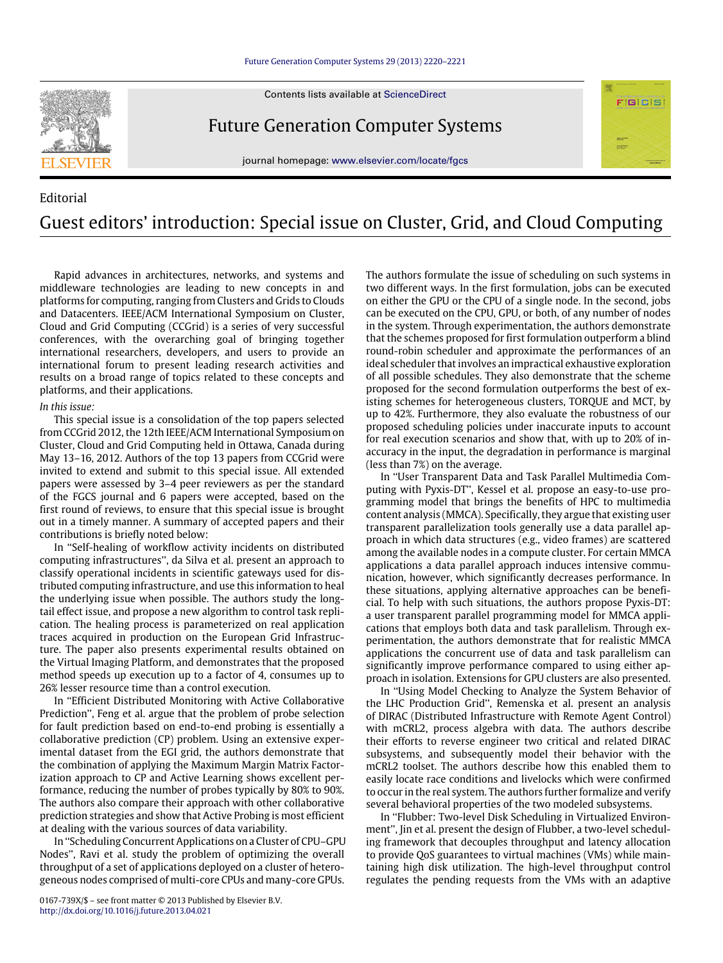## [Future Generation Computer Systems 29 \(2013\) 2220–2221](http://dx.doi.org/10.1016/j.future.2013.04.021)





Future Generation Computer Systems

journal homepage: [www.elsevier.com/locate/fgcs](http://www.elsevier.com/locate/fgcs)

## Editorial Guest editors' introduction: Special issue on Cluster, Grid, and Cloud Computing

Rapid advances in architectures, networks, and systems and middleware technologies are leading to new concepts in and platforms for computing, ranging from Clusters and Grids to Clouds and Datacenters. IEEE/ACM International Symposium on Cluster, Cloud and Grid Computing (CCGrid) is a series of very successful conferences, with the overarching goal of bringing together international researchers, developers, and users to provide an international forum to present leading research activities and results on a broad range of topics related to these concepts and platforms, and their applications.

## *In this issue:*

This special issue is a consolidation of the top papers selected from CCGrid 2012, the 12th IEEE/ACM International Symposium on Cluster, Cloud and Grid Computing held in Ottawa, Canada during May 13–16, 2012. Authors of the top 13 papers from CCGrid were invited to extend and submit to this special issue. All extended papers were assessed by 3–4 peer reviewers as per the standard of the FGCS journal and 6 papers were accepted, based on the first round of reviews, to ensure that this special issue is brought out in a timely manner. A summary of accepted papers and their contributions is briefly noted below:

In ''Self-healing of workflow activity incidents on distributed computing infrastructures'', da Silva et al. present an approach to classify operational incidents in scientific gateways used for distributed computing infrastructure, and use this information to heal the underlying issue when possible. The authors study the longtail effect issue, and propose a new algorithm to control task replication. The healing process is parameterized on real application traces acquired in production on the European Grid Infrastructure. The paper also presents experimental results obtained on the Virtual Imaging Platform, and demonstrates that the proposed method speeds up execution up to a factor of 4, consumes up to 26% lesser resource time than a control execution.

In ''Efficient Distributed Monitoring with Active Collaborative Prediction'', Feng et al. argue that the problem of probe selection for fault prediction based on end-to-end probing is essentially a collaborative prediction (CP) problem. Using an extensive experimental dataset from the EGI grid, the authors demonstrate that the combination of applying the Maximum Margin Matrix Factorization approach to CP and Active Learning shows excellent performance, reducing the number of probes typically by 80% to 90%. The authors also compare their approach with other collaborative prediction strategies and show that Active Probing is most efficient at dealing with the various sources of data variability.

In ''Scheduling Concurrent Applications on a Cluster of CPU–GPU Nodes'', Ravi et al. study the problem of optimizing the overall throughput of a set of applications deployed on a cluster of heterogeneous nodes comprised of multi-core CPUs and many-core GPUs.

The authors formulate the issue of scheduling on such systems in two different ways. In the first formulation, jobs can be executed on either the GPU or the CPU of a single node. In the second, jobs can be executed on the CPU, GPU, or both, of any number of nodes in the system. Through experimentation, the authors demonstrate that the schemes proposed for first formulation outperform a blind round-robin scheduler and approximate the performances of an ideal scheduler that involves an impractical exhaustive exploration of all possible schedules. They also demonstrate that the scheme proposed for the second formulation outperforms the best of existing schemes for heterogeneous clusters, TORQUE and MCT, by up to 42%. Furthermore, they also evaluate the robustness of our proposed scheduling policies under inaccurate inputs to account for real execution scenarios and show that, with up to 20% of inaccuracy in the input, the degradation in performance is marginal (less than 7%) on the average.

FIGICIS

In ''User Transparent Data and Task Parallel Multimedia Computing with Pyxis-DT'', Kessel et al. propose an easy-to-use programming model that brings the benefits of HPC to multimedia content analysis (MMCA). Specifically, they argue that existing user transparent parallelization tools generally use a data parallel approach in which data structures (e.g., video frames) are scattered among the available nodes in a compute cluster. For certain MMCA applications a data parallel approach induces intensive communication, however, which significantly decreases performance. In these situations, applying alternative approaches can be beneficial. To help with such situations, the authors propose Pyxis-DT: a user transparent parallel programming model for MMCA applications that employs both data and task parallelism. Through experimentation, the authors demonstrate that for realistic MMCA applications the concurrent use of data and task parallelism can significantly improve performance compared to using either approach in isolation. Extensions for GPU clusters are also presented.

In ''Using Model Checking to Analyze the System Behavior of the LHC Production Grid'', Remenska et al. present an analysis of DIRAC (Distributed Infrastructure with Remote Agent Control) with mCRL2, process algebra with data. The authors describe their efforts to reverse engineer two critical and related DIRAC subsystems, and subsequently model their behavior with the mCRL2 toolset. The authors describe how this enabled them to easily locate race conditions and livelocks which were confirmed to occur in the real system. The authors further formalize and verify several behavioral properties of the two modeled subsystems.

In ''Flubber: Two-level Disk Scheduling in Virtualized Environment'', Jin et al. present the design of Flubber, a two-level scheduling framework that decouples throughput and latency allocation to provide QoS guarantees to virtual machines (VMs) while maintaining high disk utilization. The high-level throughput control regulates the pending requests from the VMs with an adaptive